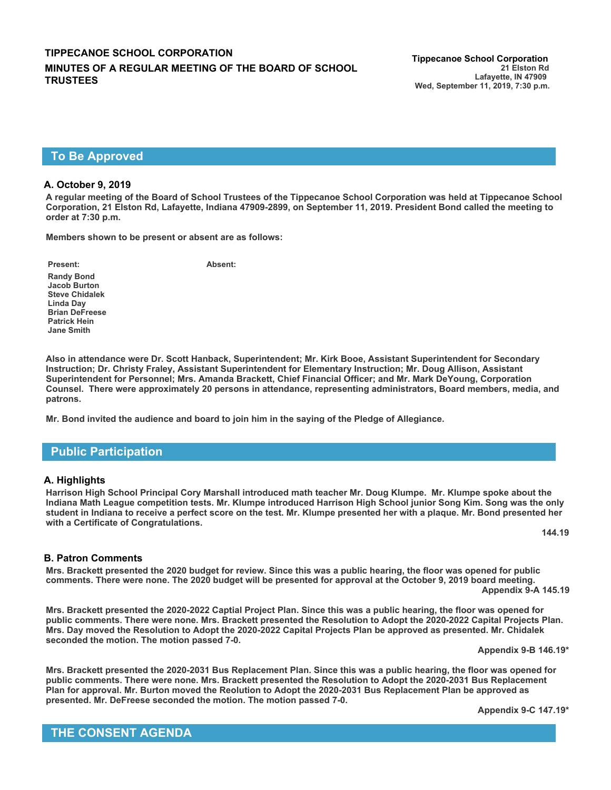### **TIPPECANOE SCHOOL CORPORATION Tippecanoe School Corporation MINUTES OF A REGULAR MEETING OF THE BOARD OF SCHOOL TRUSTEES**

### **To Be Approved**

#### **A. October 9, 2019**

**A regular meeting of the Board of School Trustees of the Tippecanoe School Corporation was held at Tippecanoe School Corporation, 21 Elston Rd, Lafayette, Indiana 47909-2899, on September 11, 2019. President Bond called the meeting to order at 7:30 p.m.**

**Members shown to be present or absent are as follows:**

**Present: Absent:**

**Randy Bond Jacob Burton Steve Chidalek Linda Day Brian DeFreese Patrick Hein Jane Smith**

**Also in attendance were Dr. Scott Hanback, Superintendent; Mr. Kirk Booe, Assistant Superintendent for Secondary Instruction; Dr. Christy Fraley, Assistant Superintendent for Elementary Instruction; Mr. Doug Allison, Assistant Superintendent for Personnel; Mrs. Amanda Brackett, Chief Financial Officer; and Mr. Mark DeYoung, Corporation Counsel. There were approximately 20 persons in attendance, representing administrators, Board members, media, and patrons.**

**Mr. Bond invited the audience and board to join him in the saying of the Pledge of Allegiance.**

#### **Public Participation**

#### **A. Highlights**

**Harrison High School Principal Cory Marshall introduced math teacher Mr. Doug Klumpe. Mr. Klumpe spoke about the Indiana Math League competition tests. Mr. Klumpe introduced Harrison High School junior Song Kim. Song was the only student in Indiana to receive a perfect score on the test. Mr. Klumpe presented her with a plaque. Mr. Bond presented her with a Certificate of Congratulations.**

**144.19**

#### **B. Patron Comments**

**Mrs. Brackett presented the 2020 budget for review. Since this was a public hearing, the floor was opened for public comments. There were none. The 2020 budget will be presented for approval at the October 9, 2019 board meeting. Appendix 9-A 145.19**

**Mrs. Brackett presented the 2020-2022 Captial Project Plan. Since this was a public hearing, the floor was opened for public comments. There were none. Mrs. Brackett presented the Resolution to Adopt the 2020-2022 Capital Projects Plan. Mrs. Day moved the Resolution to Adopt the 2020-2022 Capital Projects Plan be approved as presented. Mr. Chidalek seconded the motion. The motion passed 7-0.**

**Appendix 9-B 146.19\***

**Mrs. Brackett presented the 2020-2031 Bus Replacement Plan. Since this was a public hearing, the floor was opened for public comments. There were none. Mrs. Brackett presented the Resolution to Adopt the 2020-2031 Bus Replacement Plan for approval. Mr. Burton moved the Reolution to Adopt the 2020-2031 Bus Replacement Plan be approved as presented. Mr. DeFreese seconded the motion. The motion passed 7-0.**

**Appendix 9-C 147.19\***

**THE CONSENT AGENDA**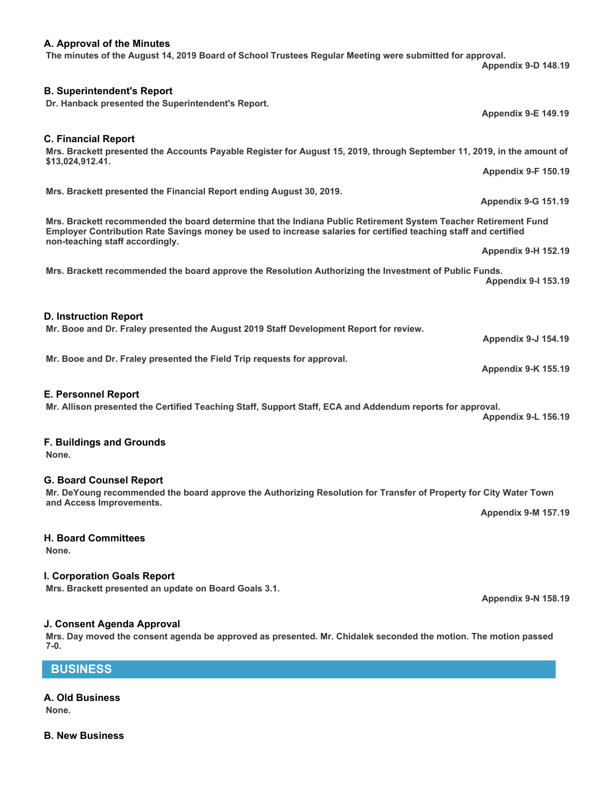#### **A. Approval of the Minutes The minutes of the August 14, 2019 Board of School Trustees Regular Meeting were submitted for approval.**

## **B. Superintendent's Report**

**Dr. Hanback presented the Superintendent's Report.** 

## **C. Financial Report**

# **Mrs. Brackett presented the Accounts Payable Register for August 15, 2019, through September 11, 2019, in the amount of**

**\$13,024,912.41.**

# **Mrs. Brackett presented the Financial Report ending August 30, 2019.**

**Mrs. Brackett recommended the board determine that the Indiana Public Retirement System Teacher Retirement Fund Employer Contribution Rate Savings money be used to increase salaries for certified teaching staff and certified non-teaching staff accordingly.**

**Mrs. Brackett recommended the board approve the Resolution Authorizing the Investment of Public Funds. Appendix 9-I 153.19**

#### **D. Instruction Report**

**Mr. Booe and Dr. Fraley presented the August 2019 Staff Development Report for review.**

**Mr. Booe and Dr. Fraley presented the Field Trip requests for approval.**

#### **E. Personnel Report**

**Mr. Allison presented the Certified Teaching Staff, Support Staff, ECA and Addendum reports for approval. Appendix 9-L 156.19**

#### **F. Buildings and Grounds**

**None.**

#### **G. Board Counsel Report**

**Mr. DeYoung recommended the board approve the Authorizing Resolution for Transfer of Property for City Water Town and Access Improvements. Appendix 9-M 157.19**

#### **H. Board Committees**

**None.**

### **I. Corporation Goals Report**

**Mrs. Brackett presented an update on Board Goals 3.1.**

### **J. Consent Agenda Approval**

**Mrs. Day moved the consent agenda be approved as presented. Mr. Chidalek seconded the motion. The motion passed 7-0.**

# **BUSINESS**

# **A. Old Business**

**None.**

**B. New Business** 

**Appendix 9-D 148.19**

**Appendix 9-E 149.19**

**Appendix 9-F 150.19**

**Appendix 9-G 151.19**

**Appendix 9-H 152.19**

**Appendix 9-J 154.19**

**Appendix 9-K 155.19**

**Appendix 9-N 158.19**